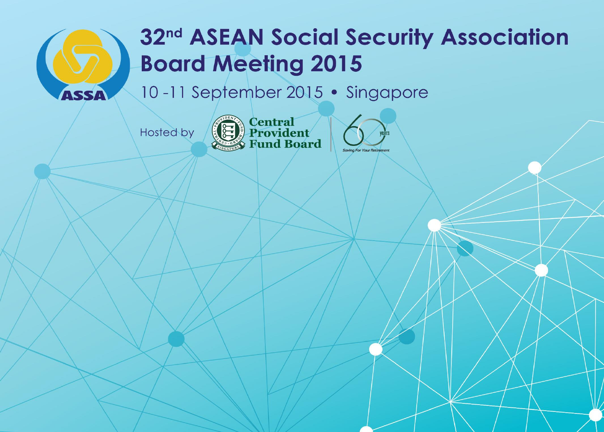

# 32<sup>nd</sup> ASEAN Social Security Association **Board Meeting 2015**

10-11 September 2015 • Singapore

Hosted by



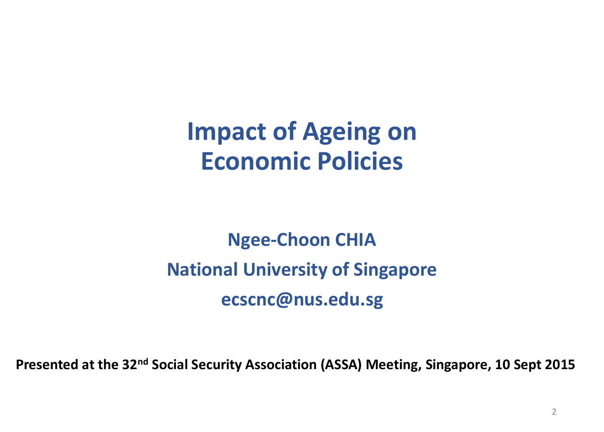# **Impact of Ageing on Economic Policies**

# **Ngee-Choon CHIA National University of Singapore ecscnc@nus.edu.sg**

**Presented at the 32nd Social Security Association (ASSA) Meeting, Singapore, 10 Sept 2015**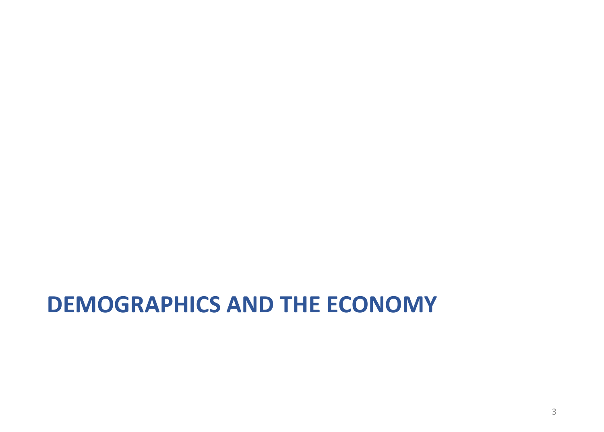## **DEMOGRAPHICS AND THE ECONOMY**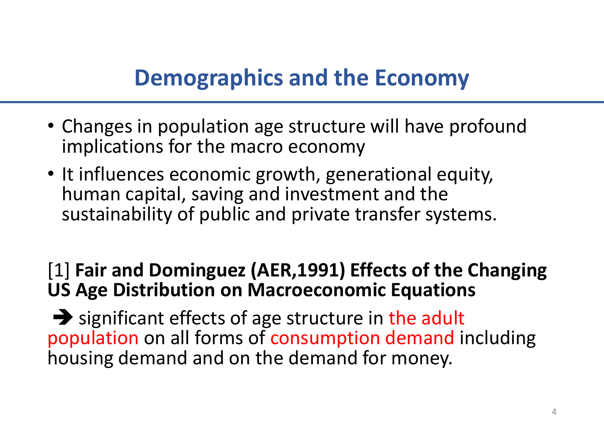## **Demographics and the Economy**

- Changes in population age structure will have profound implications for the macro economy
- It influences economic growth, generational equity, human capital, saving and investment and the sustainability of public and private transfer systems.

#### [1] **Fair and Dominguez (AER,1991) Effects of the Changing US Age Distribution on Macroeconomic Equations**

➔ significant effects of age structure in the adult population on all forms of consumption demand including housing demand and on the demand for money.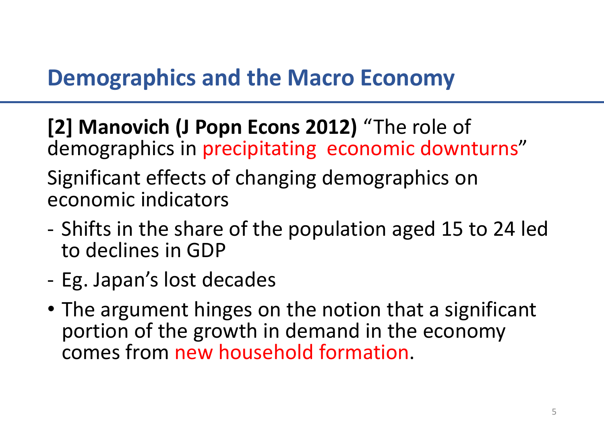## **Demographics and the Macro Economy**

**[2] Manovich (J Popn Econs 2012)** "The role of demographics in precipitating economic downturns" Significant effects of changing demographics on economic indicators

- Shifts in the share of the population aged 15 to 24 led to declines in GDP
- Eg. Japan's lost decades
- The argument hinges on the notion that a significant portion of the growth in demand in the economy comes from new household formation.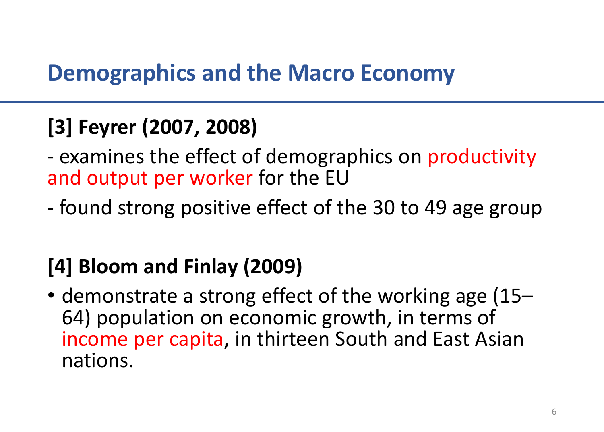#### **Demographics and the Macro Economy**

## **[3] Feyrer (2007, 2008)**

- examines the effect of demographics on productivity and output per worker for the EU

- found strong positive effect of the 30 to 49 age group

## **[4] Bloom and Finlay (2009)**

• demonstrate a strong effect of the working age (15– 64) population on economic growth, in terms of income per capita, in thirteen South and East Asian nations.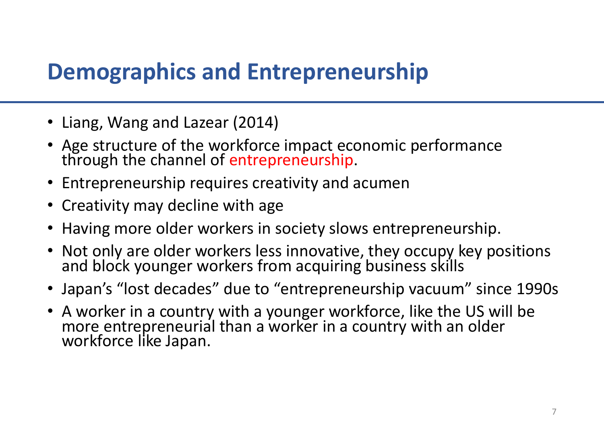#### **Demographics and Entrepreneurship**

- Liang, Wang and Lazear (2014)
- Age structure of the workforce impact economic performance through the channel of entrepreneurship.
- Entrepreneurship requires creativity and acumen
- Creativity may decline with age
- Having more older workers in society slows entrepreneurship.
- Not only are older workers less innovative, they occupy key positions and block younger workers from acquiring business skills
- Japan's "lost decades" due to "entrepreneurship vacuum" since 1990s
- A worker in a country with a younger workforce, like the US will be more entrepreneurial than a worker in a country with an older workforce like Japan.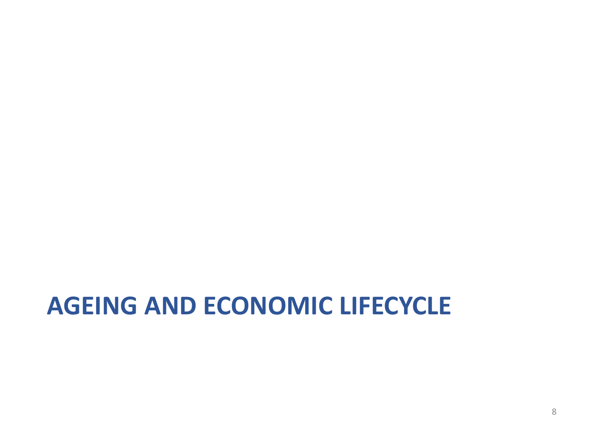# **AGEING AND ECONOMIC LIFECYCLE**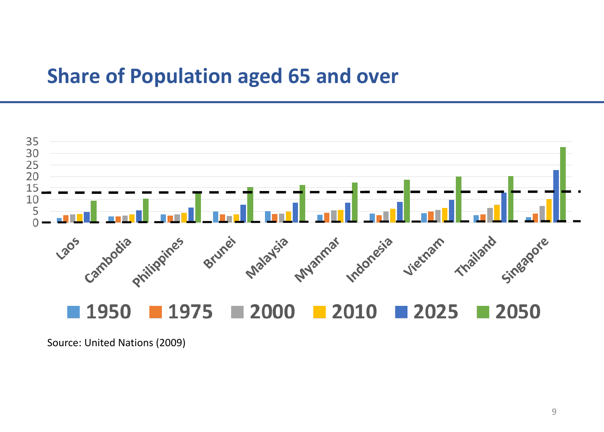#### **Share of Population aged 65 and over**



Source: United Nations (2009)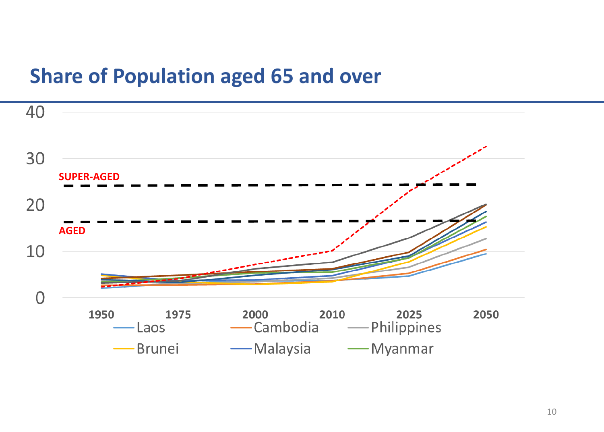#### **Share of Population aged 65 and over**

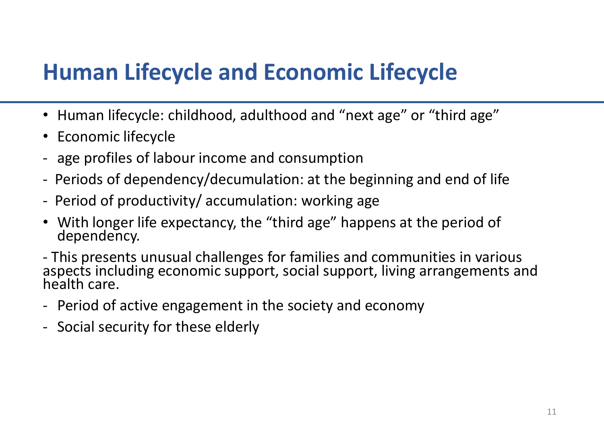## **Human Lifecycle and Economic Lifecycle**

- Human lifecycle: childhood, adulthood and "next age" or "third age"
- Economic lifecycle
- age profiles of labour income and consumption
- Periods of dependency/decumulation: at the beginning and end of life
- Period of productivity/ accumulation: working age
- With longer life expectancy, the "third age" happens at the period of dependency.
- This presents unusual challenges for families and communities in various aspects including economic support, social support, living arrangements and health care.
- Period of active engagement in the society and economy
- Social security for these elderly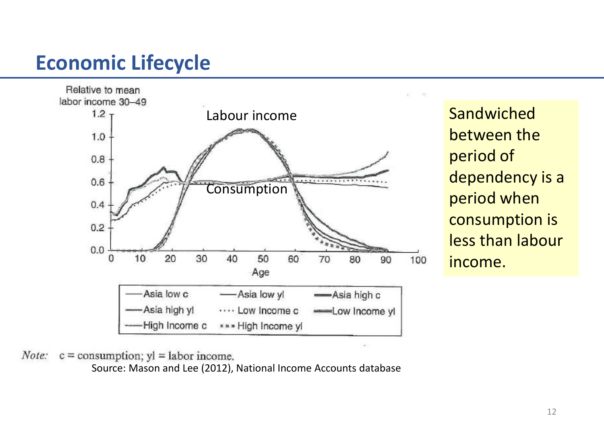#### **Economic Lifecycle**



**Sandwiched** between the period of dependency is a period when consumption is less than labour income.

 $c =$  consumption;  $yl =$  labor income. Note:

Source: Mason and Lee (2012), National Income Accounts database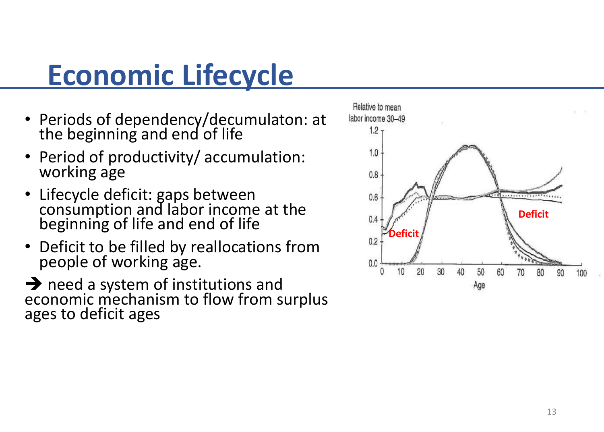# **Economic Lifecycle**

- Periods of dependency/decumulaton: at the beginning and end of life
- Period of productivity/ accumulation: working age
- Lifecycle deficit: gaps between consumption and labor income at the beginning of life and end of life
- Deficit to be filled by reallocations from people of working age.

**→** need a system of institutions and economic mechanism to flow from surplus ages to deficit ages

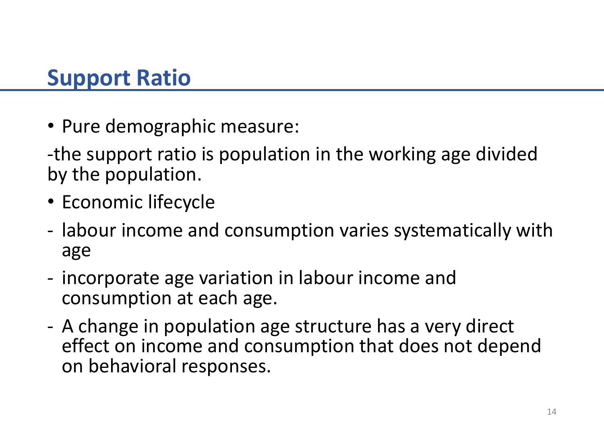### **Support Ratio**

• Pure demographic measure:

-the support ratio is population in the working age divided by the population.

- Economic lifecycle
- labour income and consumption varies systematically with age
- incorporate age variation in labour income and consumption at each age.
- A change in population age structure has a very direct effect on income and consumption that does not depend on behavioral responses.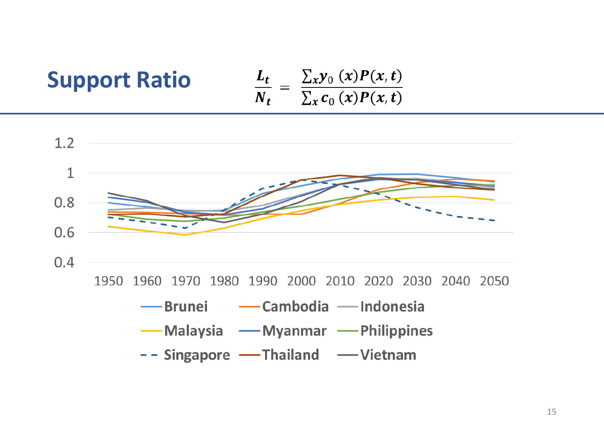# **Support Ratio**

$$
\frac{L_t}{N_t} = \frac{\sum_x y_0(x) P(x,t)}{\sum_x c_0(x) P(x,t)}
$$

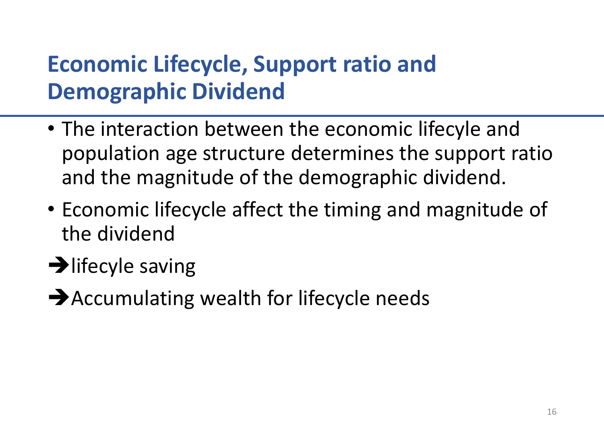# **Economic Lifecycle, Support ratio and Demographic Dividend**

- The interaction between the economic lifecyle and population age structure determines the support ratio and the magnitude of the demographic dividend.
- Economic lifecycle affect the timing and magnitude of the dividend
- $\rightarrow$  lifecyle saving
- **→**Accumulating wealth for lifecycle needs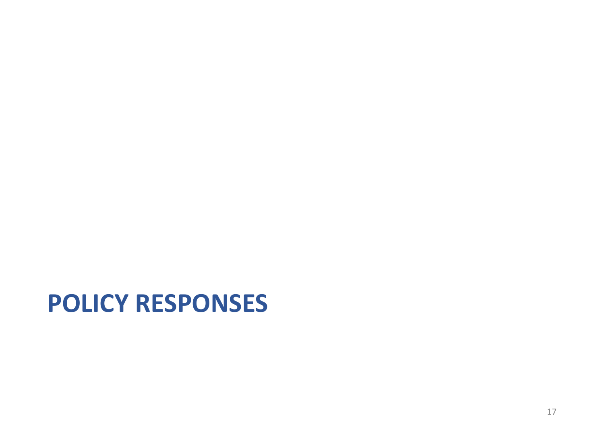# **POLICY RESPONSES**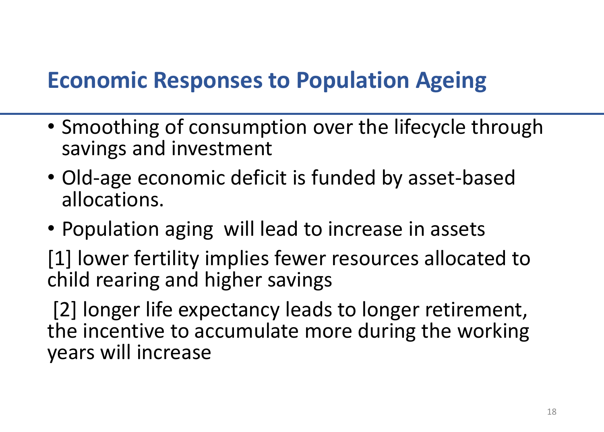# **Economic Responses to Population Ageing**

- Smoothing of consumption over the lifecycle through savings and investment
- Old-age economic deficit is funded by asset-based allocations.
- Population aging will lead to increase in assets
- [1] lower fertility implies fewer resources allocated to child rearing and higher savings

[2] longer life expectancy leads to longer retirement, the incentive to accumulate more during the working years will increase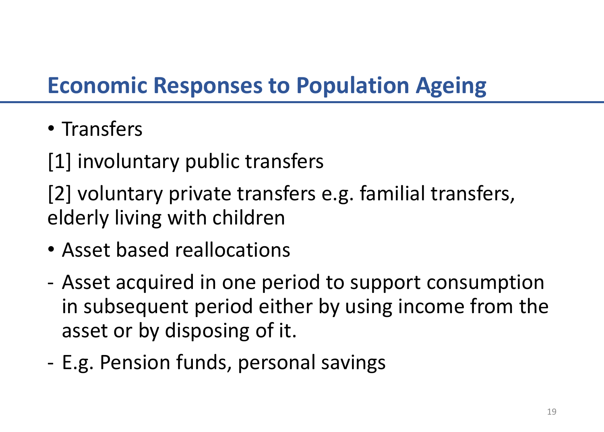# **Economic Responses to Population Ageing**

• Transfers

[1] involuntary public transfers

[2] voluntary private transfers e.g. familial transfers, elderly living with children

- Asset based reallocations
- Asset acquired in one period to support consumption in subsequent period either by using income from the asset or by disposing of it.
- E.g. Pension funds, personal savings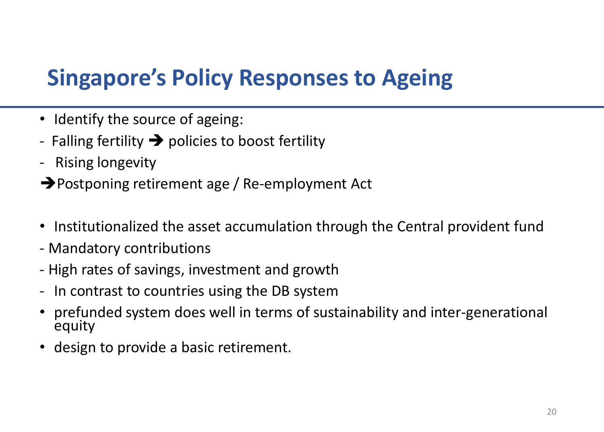# **Singapore's Policy Responses to Ageing**

- Identify the source of ageing:
- Falling fertility  $\rightarrow$  policies to boost fertility
- Rising longevity
- ➔Postponing retirement age / Re-employment Act
- Institutionalized the asset accumulation through the Central provident fund
- Mandatory contributions
- High rates of savings, investment and growth
- In contrast to countries using the DB system
- prefunded system does well in terms of sustainability and inter-generational equity
- design to provide a basic retirement.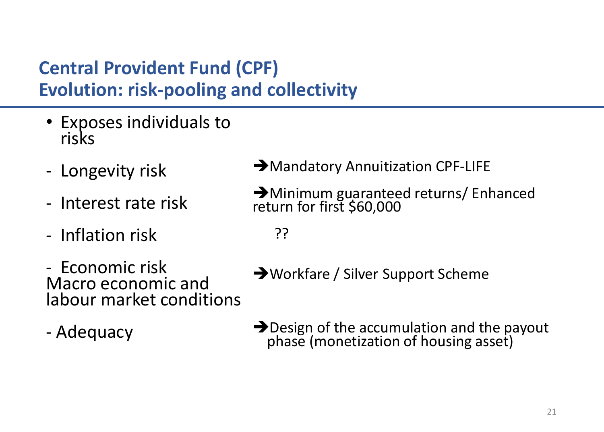#### **Central Provident Fund (CPF) Evolution: risk-pooling and collectivity**

- Exposes individuals to risks
- Longevity risk
- Interest rate risk
- Inflation risk
- Economic risk Macro economic and labour market conditions
- Adequacy
- **→ Mandatory Annuitization CPF-LIFE**
- ➔Minimum guaranteed returns/ Enhanced return for first \$60,000
	- ??
- ➔Workfare / Silver Support Scheme
- → Design of the accumulation and the payout phase (monetization of housing asset)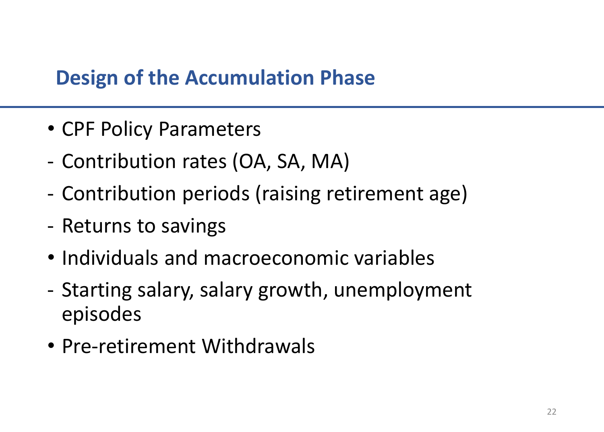#### **Design of the Accumulation Phase**

- CPF Policy Parameters
- Contribution rates (OA, SA, MA)
- Contribution periods (raising retirement age)
- Returns to savings
- Individuals and macroeconomic variables
- Starting salary, salary growth, unemployment episodes
- Pre-retirement Withdrawals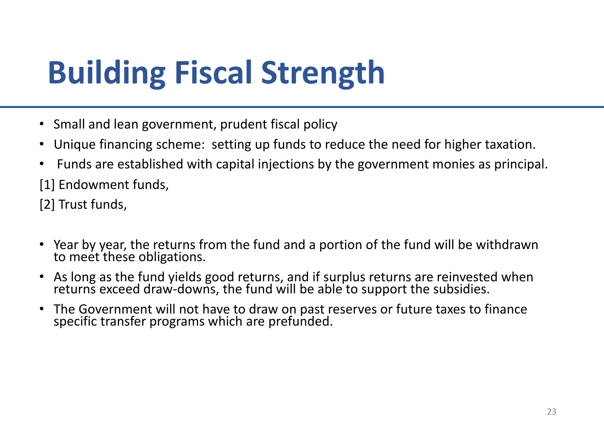- Small and lean government, prudent fiscal policy
- Unique financing scheme: setting up funds to reduce the need for higher taxation.
- Funds are established with capital injections by the government monies as principal.

[1] Endowment funds,

[2] Trust funds,

- Year by year, the returns from the fund and a portion of the fund will be withdrawn to meet these obligations.
- As long as the fund yields good returns, and if surplus returns are reinvested when returns exceed draw-downs, the fund will be able to support the subsidies.
- The Government will not have to draw on past reserves or future taxes to finance specific transfer programs which are prefunded.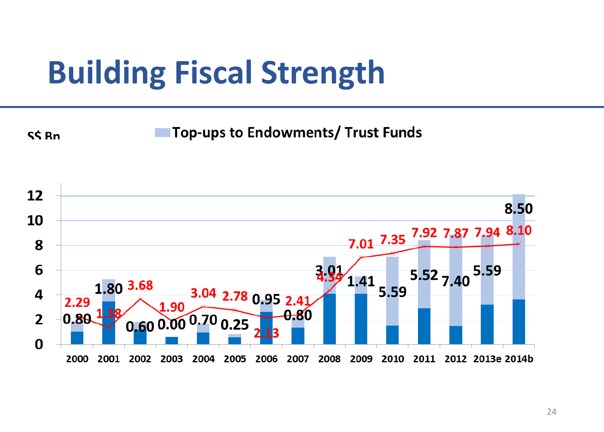SS<sub>Rn</sub>

Top-ups to Endowments/ Trust Funds

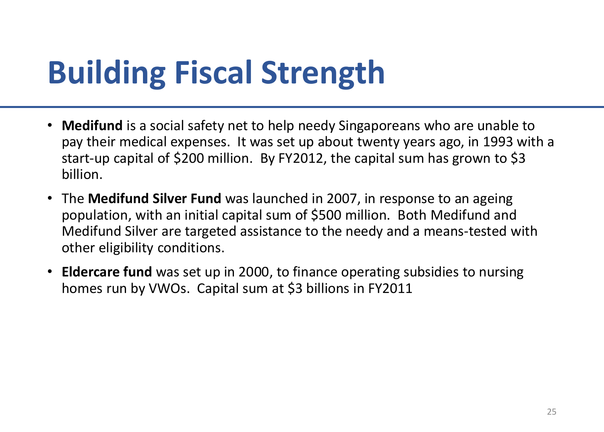- **Medifund** is a social safety net to help needy Singaporeans who are unable to pay their medical expenses. It was set up about twenty years ago, in 1993 with a start-up capital of \$200 million. By FY2012, the capital sum has grown to \$3 billion.
- The **Medifund Silver Fund** was launched in 2007, in response to an ageing population, with an initial capital sum of \$500 million. Both Medifund and Medifund Silver are targeted assistance to the needy and a means-tested with other eligibility conditions.
- **Eldercare fund** was set up in 2000, to finance operating subsidies to nursing homes run by VWOs. Capital sum at \$3 billions in FY2011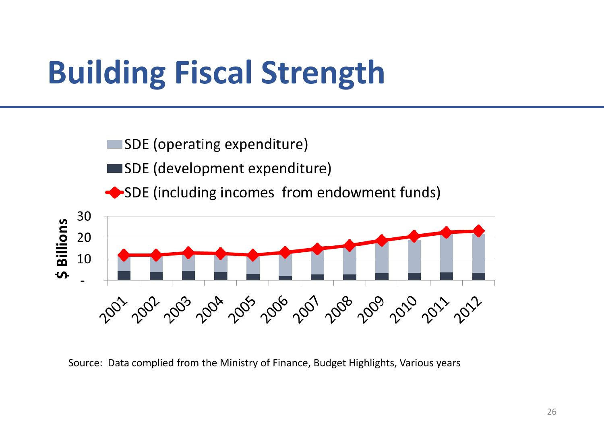**ISDE (operating expenditure)** 

SDE (development expenditure)

SDE (including incomes from endowment funds)



Source: Data complied from the Ministry of Finance, Budget Highlights, Various years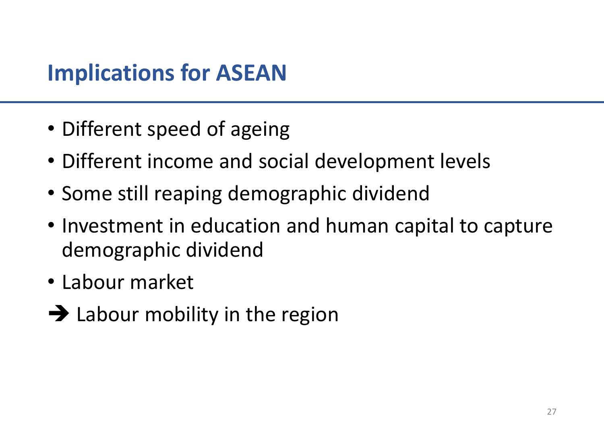## **Implications for ASEAN**

- Different speed of ageing
- Different income and social development levels
- Some still reaping demographic dividend
- Investment in education and human capital to capture demographic dividend
- Labour market
- $\rightarrow$  Labour mobility in the region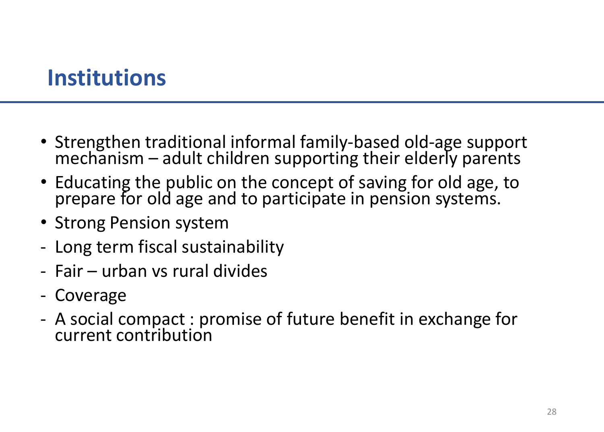### **Institutions**

- Strengthen traditional informal family-based old-age support  $mechainism - adult children supporting their elderly parents$
- Educating the public on the concept of saving for old age, to prepare for old age and to participate in pension systems.
- Strong Pension system
- Long term fiscal sustainability
- Fair urban vs rural divides
- Coverage
- A social compact : promise of future benefit in exchange for current contribution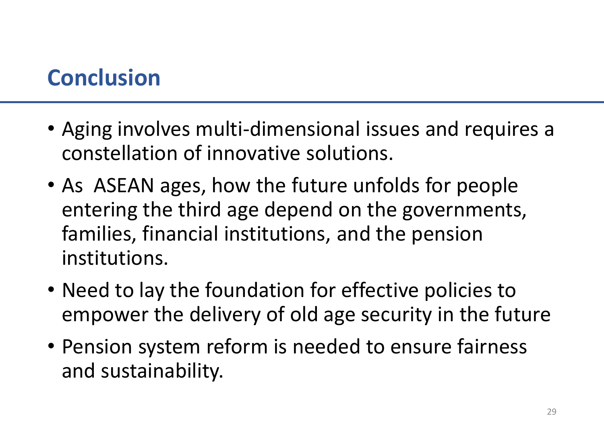## **Conclusion**

- Aging involves multi-dimensional issues and requires a constellation of innovative solutions.
- As ASEAN ages, how the future unfolds for people entering the third age depend on the governments, families, financial institutions, and the pension institutions.
- Need to lay the foundation for effective policies to empower the delivery of old age security in the future
- Pension system reform is needed to ensure fairness and sustainability.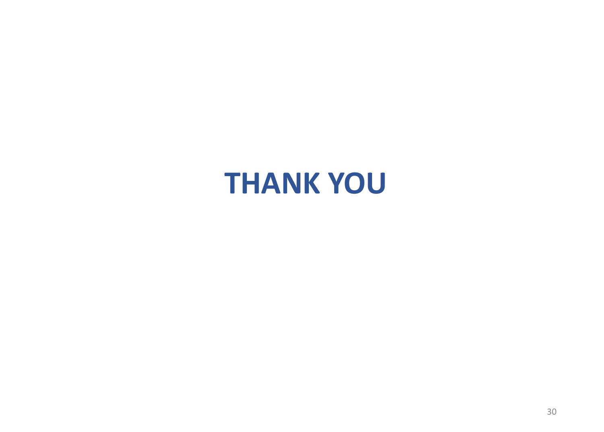# **THANK YOU**